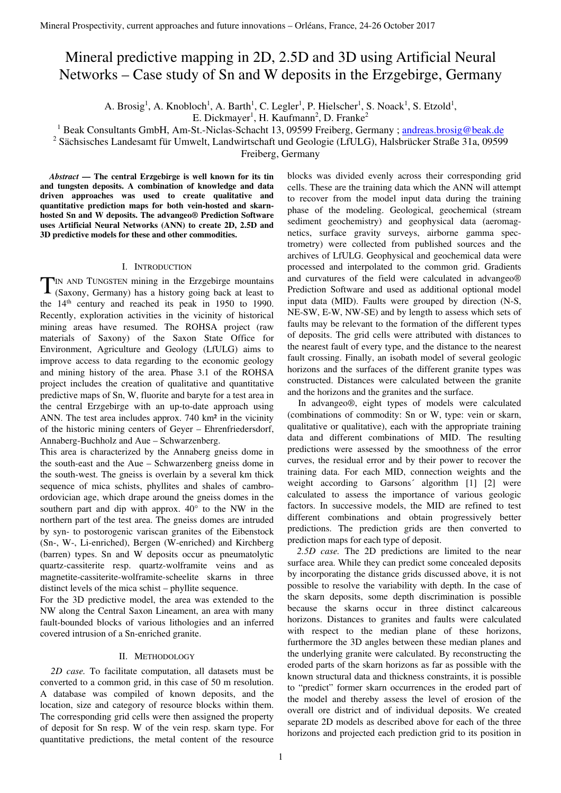# Mineral predictive mapping in 2D, 2.5D and 3D using Artificial Neural Networks – Case study of Sn and W deposits in the Erzgebirge, Germany

A. Brosig<sup>1</sup>, A. Knobloch<sup>1</sup>, A. Barth<sup>1</sup>, C. Legler<sup>1</sup>, P. Hielscher<sup>1</sup>, S. Noack<sup>1</sup>, S. Etzold<sup>1</sup>,

E. Dickmayer<sup>1</sup>, H. Kaufmann<sup>2</sup>, D. Franke<sup>2</sup>

<sup>1</sup> Beak Consultants GmbH, Am-St.-Niclas-Schacht 13, 09599 Freiberg, Germany ; andreas.brosig@beak.de

<sup>2</sup> Sächsisches Landesamt für Umwelt, Landwirtschaft und Geologie (LfULG), Halsbrücker Straße 31a, 09599

Freiberg, Germany

*Abstract* **— The central Erzgebirge is well known for its tin and tungsten deposits. A combination of knowledge and data driven approaches was used to create qualitative and quantitative prediction maps for both vein-hosted and skarnhosted Sn and W deposits. The advangeo® Prediction Software uses Artificial Neural Networks (ANN) to create 2D, 2.5D and 3D predictive models for these and other commodities.** 

## I. INTRODUCTION

IN AND TUNGSTEN mining in the Erzgebirge mountains (Saxony, Germany) has a history going back at least to the 14th century and reached its peak in 1950 to 1990. Recently, exploration activities in the vicinity of historical mining areas have resumed. The ROHSA project (raw materials of Saxony) of the Saxon State Office for Environment, Agriculture and Geology (LfULG) aims to improve access to data regarding to the economic geology and mining history of the area. Phase 3.1 of the ROHSA project includes the creation of qualitative and quantitative predictive maps of Sn, W, fluorite and baryte for a test area in the central Erzgebirge with an up-to-date approach using ANN. The test area includes approx. 740 km² in the vicinity of the historic mining centers of Geyer – Ehrenfriedersdorf, Annaberg-Buchholz and Aue – Schwarzenberg. T

This area is characterized by the Annaberg gneiss dome in the south-east and the Aue – Schwarzenberg gneiss dome in the south-west. The gneiss is overlain by a several km thick sequence of mica schists, phyllites and shales of cambroordovician age, which drape around the gneiss domes in the southern part and dip with approx. 40° to the NW in the northern part of the test area. The gneiss domes are intruded by syn- to postorogenic variscan granites of the Eibenstock (Sn-, W-, Li-enriched), Bergen (W-enriched) and Kirchberg (barren) types. Sn and W deposits occur as pneumatolytic quartz-cassiterite resp. quartz-wolframite veins and as magnetite-cassiterite-wolframite-scheelite skarns in three distinct levels of the mica schist – phyllite sequence.

For the 3D predictive model, the area was extended to the NW along the Central Saxon Lineament, an area with many fault-bounded blocks of various lithologies and an inferred covered intrusion of a Sn-enriched granite.

## II. METHODOLOGY

*2D case.* To facilitate computation, all datasets must be converted to a common grid, in this case of 50 m resolution. A database was compiled of known deposits, and the location, size and category of resource blocks within them. The corresponding grid cells were then assigned the property of deposit for Sn resp. W of the vein resp. skarn type. For quantitative predictions, the metal content of the resource

blocks was divided evenly across their corresponding grid cells. These are the training data which the ANN will attempt to recover from the model input data during the training phase of the modeling. Geological, geochemical (stream sediment geochemistry) and geophysical data (aeromagnetics, surface gravity surveys, airborne gamma spectrometry) were collected from published sources and the archives of LfULG. Geophysical and geochemical data were processed and interpolated to the common grid. Gradients and curvatures of the field were calculated in advangeo® Prediction Software and used as additional optional model input data (MID). Faults were grouped by direction (N-S, NE-SW, E-W, NW-SE) and by length to assess which sets of faults may be relevant to the formation of the different types of deposits. The grid cells were attributed with distances to the nearest fault of every type, and the distance to the nearest fault crossing. Finally, an isobath model of several geologic horizons and the surfaces of the different granite types was constructed. Distances were calculated between the granite and the horizons and the granites and the surface.

In advangeo®, eight types of models were calculated (combinations of commodity: Sn or W, type: vein or skarn, qualitative or qualitative), each with the appropriate training data and different combinations of MID. The resulting predictions were assessed by the smoothness of the error curves, the residual error and by their power to recover the training data. For each MID, connection weights and the weight according to Garsons' algorithm [1] [2] were calculated to assess the importance of various geologic factors. In successive models, the MID are refined to test different combinations and obtain progressively better predictions. The prediction grids are then converted to prediction maps for each type of deposit.

*2.5D case.* The 2D predictions are limited to the near surface area. While they can predict some concealed deposits by incorporating the distance grids discussed above, it is not possible to resolve the variability with depth. In the case of the skarn deposits, some depth discrimination is possible because the skarns occur in three distinct calcareous horizons. Distances to granites and faults were calculated with respect to the median plane of these horizons, furthermore the 3D angles between these median planes and the underlying granite were calculated. By reconstructing the eroded parts of the skarn horizons as far as possible with the known structural data and thickness constraints, it is possible to "predict" former skarn occurrences in the eroded part of the model and thereby assess the level of erosion of the overall ore district and of individual deposits. We created separate 2D models as described above for each of the three horizons and projected each prediction grid to its position in